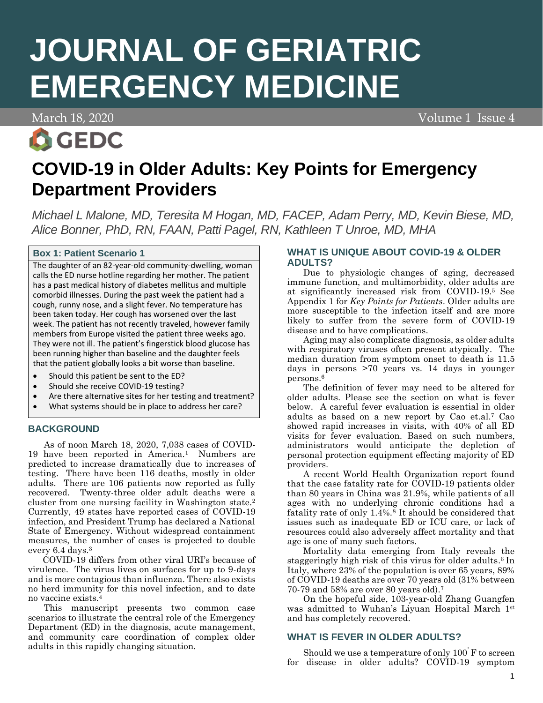# **JOURNAL OF GERIATRIC EMERGENCY MEDICINE**

March 18, 2020

**O**GEDC

Volume 1 Issue 4

# **COVID-19 in Older Adults: Key Points for Emergency Department Providers**

*Michael L Malone, MD, Teresita M Hogan, MD, FACEP, Adam Perry, MD, Kevin Biese, MD, Alice Bonner, PhD, RN, FAAN, Patti Pagel, RN, Kathleen T Unroe, MD, MHA*

# **Box 1: Patient Scenario 1**

The daughter of an 82-year-old community-dwelling, woman calls the ED nurse hotline regarding her mother. The patient has a past medical history of diabetes mellitus and multiple comorbid illnesses. During the past week the patient had a cough, runny nose, and a slight fever. No temperature has been taken today. Her cough has worsened over the last week. The patient has not recently traveled, however family members from Europe visited the patient three weeks ago. They were not ill. The patient's fingerstick blood glucose has been running higher than baseline and the daughter feels that the patient globally looks a bit worse than baseline.

- Should this patient be sent to the ED?
- Should she receive COVID-19 testing?
- Are there alternative sites for her testing and treatment?
- What systems should be in place to address her care?

#### **BACKGROUND**

As of noon March 18, 2020, 7,038 cases of COVID-19 have been reported in America.1 Numbers are predicted to increase dramatically due to increases of testing. There have been 116 deaths, mostly in older adults. There are 106 patients now reported as fully recovered. Twenty-three older adult deaths were a cluster from one nursing facility in Washington state.<sup>2</sup> Currently, 49 states have reported cases of COVID-19 infection, and President Trump has declared a National State of Emergency. Without widespread containment measures, the number of cases is projected to double every 6.4 days.<sup>3</sup>

 COVID-19 differs from other viral URI's because of virulence. The virus lives on surfaces for up to 9-days and is more contagious than influenza. There also exists no herd immunity for this novel infection, and to date no vaccine exists.<sup>4</sup>

This manuscript presents two common case scenarios to illustrate the central role of the Emergency Department (ED) in the diagnosis, acute management, and community care coordination of complex older adults in this rapidly changing situation.

### **WHAT IS UNIQUE ABOUT COVID-19 & OLDER ADULTS?**

Due to physiologic changes of aging, decreased immune function, and multimorbidity, older adults are at significantly increased risk from COVID-19.<sup>5</sup> See Appendix 1 for *Key Points for Patients*. Older adults are more susceptible to the infection itself and are more likely to suffer from the severe form of COVID-19 disease and to have complications.

Aging may also complicate diagnosis, as older adults with respiratory viruses often present atypically. The median duration from symptom onset to death is 11.5 days in persons >70 years vs. 14 days in younger persons. 6

The definition of fever may need to be altered for older adults. Please see the section on what is fever below. A careful fever evaluation is essential in older adults as based on a new report by Cao et.al.<sup>7</sup> Cao showed rapid increases in visits, with 40% of all ED visits for fever evaluation. Based on such numbers, administrators would anticipate the depletion of personal protection equipment effecting majority of ED providers.

A recent World Health Organization report found that the case fatality rate for COVID-19 patients older than 80 years in China was 21.9%, while patients of all ages with no underlying chronic conditions had a fatality rate of only  $1.4\%$ .<sup>8</sup> It should be considered that issues such as inadequate ED or ICU care, or lack of resources could also adversely affect mortality and that age is one of many such factors.

Mortality data emerging from Italy reveals the staggeringly high risk of this virus for older adults.<sup>6</sup> In Italy, where 23% of the population is over 65 years, 89% of COVID-19 deaths are over 70 years old (31% between 70-79 and 58% are over 80 years old).<sup>7</sup>

On the hopeful side, 103-year-old Zhang Guangfen was admitted to Wuhan's Liyuan Hospital March 1st and has completely recovered.

# **WHAT IS FEVER IN OLDER ADULTS?**

Should we use a temperature of only 100˚F to screen for disease in older adults? COVID-19 symptom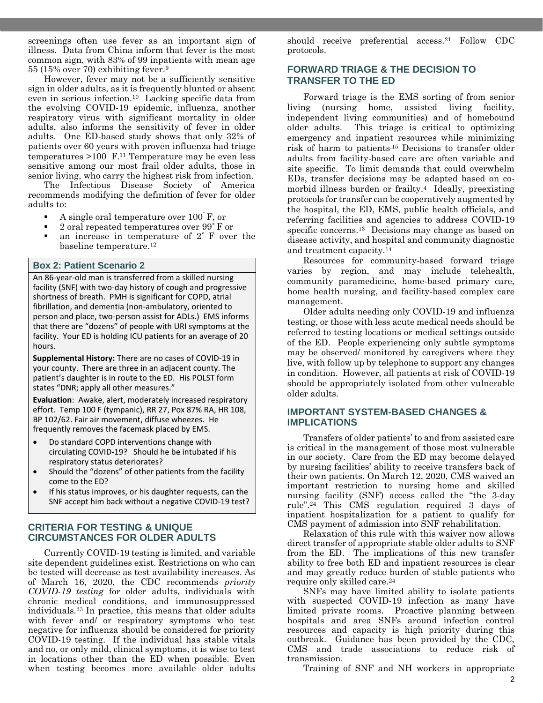screenings often use fever as an important sign of illness. Data from China inform that fever is the most common sign, with 83% of 99 inpatients with mean age 55 (15% over 70) exhibiting fever.<sup>9</sup>

However, fever may not be a sufficiently sensitive sign in older adults, as it is frequently blunted or absent even in serious infection.10 Lacking specific data from the evolving COVID-19 epidemic, influenza, another respiratory virus with significant mortality in older adults, also informs the sensitivity of fever in older adults. One ED-based study shows that only 32% of patients over 60 years with proven influenza had triage temperatures  $>100^{\circ}$  F.<sup>11</sup> Temperature may be even less sensitive among our most frail older adults, those in senior living, who carry the highest risk from infection.

The Infectious Disease Society of America recommends modifying the definition of fever for older adults to:

- $\blacksquare$  A single oral temperature over 100 F, or
- 2 oral repeated temperatures over 99°F or
- an increase in temperature of  $2^{\circ}$  F over the baseline temperature.<sup>12</sup>

#### **Box 2: Patient Scenario 2**

An 86-year-old man is transferred from a skilled nursing facility (SNF) with two-day history of cough and progressive shortness of breath. PMH is significant for COPD, atrial fibrillation, and dementia (non-ambulatory, oriented to person and place, two-person assist for ADLs.) EMS informs that there are "dozens" of people with URI symptoms at the facility. Your ED is holding ICU patients for an average of 20 hours.

**Supplemental History:** There are no cases of COVID-19 in your county. There are three in an adjacent county. The patient's daughter is in route to the ED. His POLST form states "DNR; apply all other measures."

**Evaluation**: Awake, alert, moderately increased respiratory effort. Temp 100 F (tympanic), RR 27, Pox 87% RA, HR 108, BP 102/62. Fair air movement, diffuse wheezes. He frequently removes the facemask placed by EMS.

- Do standard COPD interventions change with circulating COVID-19? Should he be intubated if his respiratory status deteriorates?
- Should the "dozens" of other patients from the facility come to the ED?
- If his status improves, or his daughter requests, can the SNF accept him back without a negative COVID-19 test?

### **CRITERIA FOR TESTING & UNIQUE CIRCUMSTANCES FOR OLDER ADULTS**

Currently COVID-19 testing is limited, and variable site dependent guidelines exist. Restrictions on who can be tested will decrease as test availability increases. As of March 16, 2020, the CDC recommends *priority COVID-19 testing* for older adults, individuals with chronic medical conditions, and immunosuppressed individuals.<sup>23</sup> In practice, this means that older adults with fever and/ or respiratory symptoms who test negative for influenza should be considered for priority COVID-19 testing. If the individual has stable vitals and no, or only mild, clinical symptoms, it is wise to test in locations other than the ED when possible. Even when testing becomes more available older adults

should receive preferential access.<sup>21</sup> Follow CDC protocols.

### **FORWARD TRIAGE & THE DECISION TO TRANSFER TO THE ED**

Forward triage is the EMS sorting of from senior living (nursing home, assisted living facility, independent living communities) and of homebound older adults. This triage is critical to optimizing emergency and inpatient resources while minimizing risk of harm to patients.15 Decisions to transfer older adults from facility-based care are often variable and site specific. To limit demands that could overwhelm EDs, transfer decisions may be adapted based on comorbid illness burden or frailty.4 Ideally, preexisting protocols for transfer can be cooperatively augmented by the hospital, the ED, EMS, public health officials, and referring facilities and agencies to address COVID-19 specific concerns.13 Decisions may change as based on disease activity, and hospital and community diagnostic and treatment capacity.<sup>14</sup>

Resources for community-based forward triage varies by region, and may include telehealth, community paramedicine, home-based primary care, home health nursing, and facility-based complex care management.

Older adults needing only COVID-19 and influenza testing, or those with less acute medical needs should be referred to testing locations or medical settings outside of the ED. People experiencing only subtle symptoms may be observed/ monitored by caregivers where they live, with follow up by telephone to support any changes in condition. However, all patients at risk of COVID-19 should be appropriately isolated from other vulnerable older adults.

#### **IMPORTANT SYSTEM-BASED CHANGES & IMPLICATIONS**

Transfers of older patients' to and from assisted care is critical in the management of those most vulnerable in our society. Care from the ED may become delayed by nursing facilities' ability to receive transfers back of their own patients. On March 12, 2020, CMS waived an important restriction to nursing home and skilled nursing facility (SNF) access called the "the 3-day rule".<sup>24</sup> This CMS regulation required 3 days of inpatient hospitalization for a patient to qualify for CMS payment of admission into SNF rehabilitation.

Relaxation of this rule with this waiver now allows direct transfer of appropriate stable older adults to SNF from the ED. The implications of this new transfer ability to free both ED and inpatient resources is clear and may greatly reduce burden of stable patients who require only skilled care. 24

SNFs may have limited ability to isolate patients with suspected COVID-19 infection as many have limited private rooms. Proactive planning between hospitals and area SNFs around infection control resources and capacity is high priority during this outbreak. Guidance has been provided by the CDC, CMS and trade associations to reduce risk of transmission.

Training of SNF and NH workers in appropriate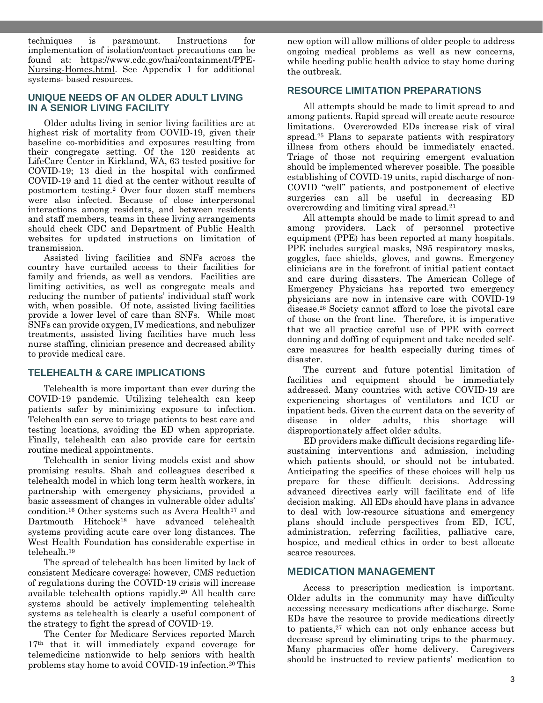techniques is paramount. Instructions for implementation of isolation/contact precautions can be found at: [https://www.cdc.gov/hai/containment/PPE-](https://www.cdc.gov/hai/containment/PPE-Nursing-Homes.html)[Nursing-Homes.html.](https://www.cdc.gov/hai/containment/PPE-Nursing-Homes.html) See Appendix 1 for additional systems- based resources.

#### **UNIQUE NEEDS OF AN OLDER ADULT LIVING IN A SENIOR LIVING FACILITY**

Older adults living in senior living facilities are at highest risk of mortality from COVID-19, given their baseline co-morbidities and exposures resulting from their congregate setting. Of the 120 residents at LifeCare Center in Kirkland, WA, 63 tested positive for COVID-19; 13 died in the hospital with confirmed COVID-19 and 11 died at the center without results of postmortem testing.<sup>2</sup> Over four dozen staff members were also infected. Because of close interpersonal interactions among residents, and between residents and staff members, teams in these living arrangements should check CDC and Department of Public Health websites for updated instructions on limitation of transmission.

Assisted living facilities and SNFs across the country have curtailed access to their facilities for family and friends, as well as vendors. Facilities are limiting activities, as well as congregate meals and reducing the number of patients' individual staff work with, when possible. Of note, assisted living facilities provide a lower level of care than SNFs. While most SNFs can provide oxygen, IV medications, and nebulizer treatments, assisted living facilities have much less nurse staffing, clinician presence and decreased ability to provide medical care.

# **TELEHEALTH & CARE IMPLICATIONS**

Telehealth is more important than ever during the COVID-19 pandemic. Utilizing telehealth can keep patients safer by minimizing exposure to infection. Telehealth can serve to triage patients to best care and testing locations, avoiding the ED when appropriate. Finally, telehealth can also provide care for certain routine medical appointments.

Telehealth in senior living models exist and show promising results. Shah and colleagues described a telehealth model in which long term health workers, in partnership with emergency physicians, provided a basic assessment of changes in vulnerable older adults' condition.<sup>16</sup> Other systems such as Avera Health<sup>17</sup> and Dartmouth Hitchock18 have advanced telehealth systems providing acute care over long distances. The West Health Foundation has considerable expertise in telehealh. 19

The spread of telehealth has been limited by lack of consistent Medicare coverage; however, CMS reduction of regulations during the COVID-19 crisis will increase available telehealth options rapidly.<sup>20</sup> All health care systems should be actively implementing telehealth systems as telehealth is clearly a useful component of the strategy to fight the spread of COVID-19.

The Center for Medicare Services reported March 17<sup>th</sup> that it will immediately expand coverage for telemedicine nationwide to help seniors with health problems stay home to avoid COVID-19 infection. <sup>20</sup> This

new option will allow millions of older people to address ongoing medical problems as well as new concerns, while heeding public health advice to stay home during the outbreak.

### **RESOURCE LIMITATION PREPARATIONS**

All attempts should be made to limit spread to and among patients. Rapid spread will create acute resource limitations. Overcrowded EDs increase risk of viral spread.<sup>25</sup> Plans to separate patients with respiratory illness from others should be immediately enacted. Triage of those not requiring emergent evaluation should be implemented wherever possible. The possible establishing of COVID-19 units, rapid discharge of non-COVID "well" patients, and postponement of elective surgeries can all be useful in decreasing ED overcrowding and limiting viral spread.<sup>21</sup>

All attempts should be made to limit spread to and among providers. Lack of personnel protective equipment (PPE) has been reported at many hospitals. PPE includes surgical masks, N95 respiratory masks, goggles, face shields, gloves, and gowns. Emergency clinicians are in the forefront of initial patient contact and care during disasters. The American College of Emergency Physicians has reported two emergency physicians are now in intensive care with COVID-19 disease.<sup>26</sup> Society cannot afford to lose the pivotal care of those on the front line. Therefore, it is imperative that we all practice careful use of PPE with correct donning and doffing of equipment and take needed selfcare measures for health especially during times of disaster.

The current and future potential limitation of facilities and equipment should be immediately addressed. Many countries with active COVID-19 are experiencing shortages of ventilators and ICU or inpatient beds. Given the current data on the severity of disease in older adults, this shortage will disproportionately affect older adults.

ED providers make difficult decisions regarding lifesustaining interventions and admission, including which patients should, or should not be intubated. Anticipating the specifics of these choices will help us prepare for these difficult decisions. Addressing advanced directives early will facilitate end of life decision making. All EDs should have plans in advance to deal with low-resource situations and emergency plans should include perspectives from ED, ICU, administration, referring facilities, palliative care, hospice, and medical ethics in order to best allocate scarce resources.

# **MEDICATION MANAGEMENT**

Access to prescription medication is important. Older adults in the community may have difficulty accessing necessary medications after discharge. Some EDs have the resource to provide medications directly to patients,<sup>27</sup> which can not only enhance access but decrease spread by eliminating trips to the pharmacy. Many pharmacies offer home delivery. Caregivers should be instructed to review patients' medication to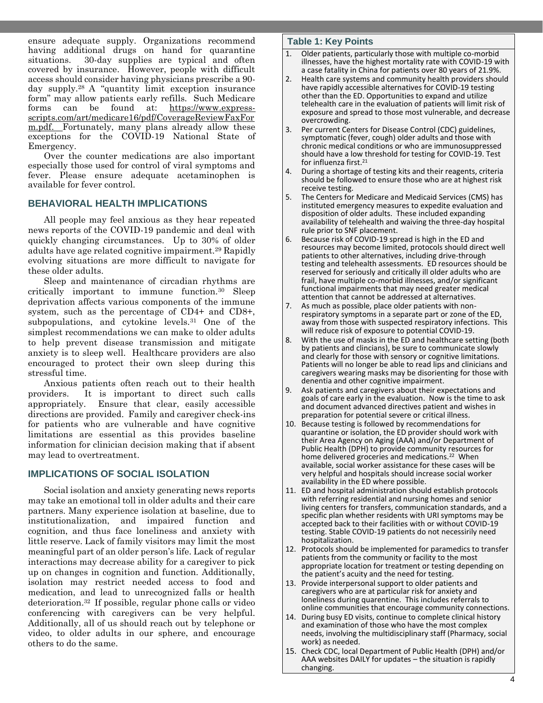ensure adequate supply. Organizations recommend having additional drugs on hand for quarantine situations. 30-day supplies are typical and often covered by insurance. However, people with difficult access should consider having physicians prescribe a 90 day supply.<sup>28</sup> A "quantity limit exception insurance form" may allow patients early refills. Such Medicare forms can be found at: [https://www.express](https://www.express-scripts.com/art/medicare16/pdf/CoverageReviewFaxForm.pdf)[scripts.com/art/medicare16/pdf/CoverageReviewFaxFor](https://www.express-scripts.com/art/medicare16/pdf/CoverageReviewFaxForm.pdf) [m.pdf.](https://www.express-scripts.com/art/medicare16/pdf/CoverageReviewFaxForm.pdf) Fortunately, many plans already allow these exceptions for the COVID-19 National State of Emergency.

Over the counter medications are also important especially those used for control of viral symptoms and fever. Please ensure adequate acetaminophen is available for fever control.

### **BEHAVIORAL HEALTH IMPLICATIONS**

All people may feel anxious as they hear repeated news reports of the COVID-19 pandemic and deal with quickly changing circumstances. Up to 30% of older adults have age related cognitive impairment.<sup>29</sup> Rapidly evolving situations are more difficult to navigate for these older adults.

Sleep and maintenance of circadian rhythms are critically important to immune function.<sup>30</sup> Sleep deprivation affects various components of the immune system, such as the percentage of CD4+ and CD8+, subpopulations, and cytokine levels.<sup>31</sup> One of the simplest recommendations we can make to older adults to help prevent disease transmission and mitigate anxiety is to sleep well. Healthcare providers are also encouraged to protect their own sleep during this stressful time.

Anxious patients often reach out to their health providers. It is important to direct such calls appropriately. Ensure that clear, easily accessible directions are provided. Family and caregiver check-ins for patients who are vulnerable and have cognitive limitations are essential as this provides baseline information for clinician decision making that if absent may lead to overtreatment.

#### **IMPLICATIONS OF SOCIAL ISOLATION**

Social isolation and anxiety generating news reports may take an emotional toll in older adults and their care partners. Many experience isolation at baseline, due to institutionalization, and impaired function and cognition, and thus face loneliness and anxiety with little reserve. Lack of family visitors may limit the most meaningful part of an older person's life. Lack of regular interactions may decrease ability for a caregiver to pick up on changes in cognition and function. Additionally, isolation may restrict needed access to food and medication, and lead to unrecognized falls or health deterioration. <sup>32</sup> If possible, regular phone calls or video conferencing with caregivers can be very helpful. Additionally, all of us should reach out by telephone or video, to older adults in our sphere, and encourage others to do the same.

#### **Table 1: Key Points**

- 1. Older patients, particularly those with multiple co-morbid illnesses, have the highest mortality rate with COVID-19 with a case fatality in China for patients over 80 years of 21.9%.
- 2. Health care systems and community health providers should have rapidly accessible alternatives for COVID-19 testing other than the ED. Opportunities to expand and utilize telehealth care in the evaluation of patients will limit risk of exposure and spread to those most vulnerable, and decrease overcrowding.
- 3. Per current Centers for Disease Control (CDC) guidelines, symptomatic (fever, cough) older adults and those with chronic medical conditions or who are immunosuppressed should have a low threshold for testing for COVID-19. Test for influenza first.<sup>21</sup>
- 4. During a shortage of testing kits and their reagents, criteria should be followed to ensure those who are at highest risk receive testing.
- 5. The Centers for Medicare and Medicaid Services (CMS) has instituted emergency measures to expedite evaluation and disposition of older adults. These included expanding availability of telehealth and waiving the three-day hospital rule prior to SNF placement.
- 6. Because risk of COVID-19 spread is high in the ED and resources may become limited, protocols should direct well patients to other alternatives, including drive-through testing and telehealth assessments. ED resources should be reserved for seriously and critically ill older adults who are frail, have multiple co-morbid illnesses, and/or significant functional impairments that may need greater medical attention that cannot be addressed at alternatives.
- 7. As much as possible, place older patients with nonrespiratory symptoms in a separate part or zone of the ED, away from those with suspected respiratory infections. This will reduce risk of exposure to potential COVID-19.
- 8. With the use of masks in the ED and healthcare setting (both by patients and clincians), be sure to communicate slowly and clearly for those with sensory or cognitive limitations. Patients will no longer be able to read lips and clinicians and caregivers wearing masks may be disorienting for those with denentia and other cognitive impairment.
- 9. Ask patients and caregivers about their expectations and goals of care early in the evaluation. Now is the time to ask and document advanced directives patient and wishes in preparation for potential severe or critical illness.
- 10. Because testing is followed by recommendations for quarantine or isolation, the ED provider should work with their Area Agency on Aging (AAA) and/or Department of Public Health (DPH) to provide community resources for home delivered groceries and medications.<sup>22</sup> When available, social worker assistance for these cases will be very helpful and hospitals should increase social worker availability in the ED where possible.
- 11. ED and hospital administration should establish protocols with referring residential and nursing homes and senior living centers for transfers, communication standards, and a specific plan whether residents with URI symptoms may be accepted back to their facilities with or without COVID-19 testing. Stable COVID-19 patients do not necessirily need hospitalization.
- 12. Protocols should be implemented for paramedics to transfer patients from the community or facility to the most appropriate location for treatment or testing depending on the patient's acuity and the need for testing.
- 13. Provide interpersonal support to older patients and caregivers who are at particular risk for anxiety and loneliness during quarentine. This includes referrals to online communities that encourage community connections.
- 14. During busy ED visits, continue to complete clinical history and examination of those who have the most complex needs, involving the multidisciplinary staff (Pharmacy, social work) as needed.
- 15. Check CDC, local Department of Public Health (DPH) and/or AAA websites DAILY for updates – the situation is rapidly changing.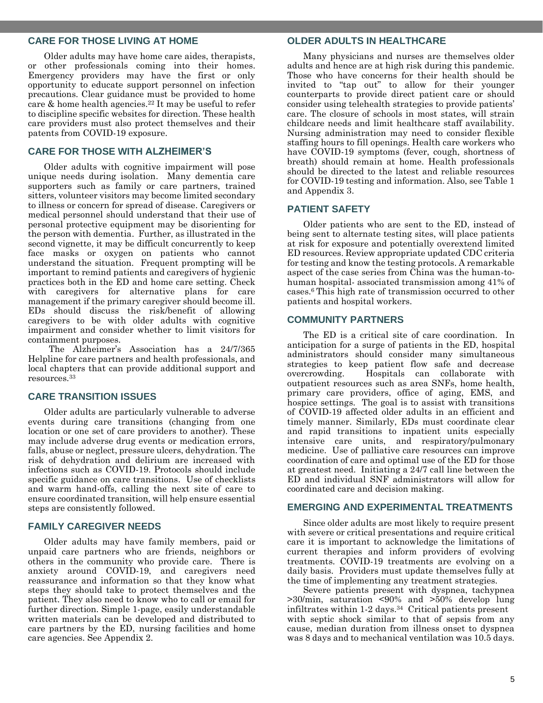#### **CARE FOR THOSE LIVING AT HOME**

Older adults may have home care aides, therapists, or other professionals coming into their homes. Emergency providers may have the first or only opportunity to educate support personnel on infection precautions. Clear guidance must be provided to home care & home health agencies. <sup>22</sup> It may be useful to refer to discipline specific websites for direction. These health care providers must also protect themselves and their patents from COVID-19 exposure.

### **CARE FOR THOSE WITH ALZHEIMER'S**

Older adults with cognitive impairment will pose unique needs during isolation. Many dementia care supporters such as family or care partners, trained sitters, volunteer visitors may become limited secondary to illness or concern for spread of disease. Caregivers or medical personnel should understand that their use of personal protective equipment may be disorienting for the person with dementia. Further, as illustrated in the second vignette, it may be difficult concurrently to keep face masks or oxygen on patients who cannot understand the situation. Frequent prompting will be important to remind patients and caregivers of hygienic practices both in the ED and home care setting. Check with caregivers for alternative plans for care management if the primary caregiver should become ill. EDs should discuss the risk/benefit of allowing caregivers to be with older adults with cognitive impairment and consider whether to limit visitors for containment purposes.

The Alzheimer's Association has a 24/7/365 Helpline for care partners and health professionals, and local chapters that can provide additional support and resources.<sup>33</sup>

#### **CARE TRANSITION ISSUES**

Older adults are particularly vulnerable to adverse events during care transitions (changing from one location or one set of care providers to another). These may include adverse drug events or medication errors, falls, abuse or neglect, pressure ulcers, dehydration. The risk of dehydration and delirium are increased with infections such as COVID-19. Protocols should include specific guidance on care transitions. Use of checklists and warm hand-offs, calling the next site of care to ensure coordinated transition, will help ensure essential steps are consistently followed.

#### **FAMILY CAREGIVER NEEDS**

Older adults may have family members, paid or unpaid care partners who are friends, neighbors or others in the community who provide care. There is anxiety around COVID-19, and caregivers need reassurance and information so that they know what steps they should take to protect themselves and the patient. They also need to know who to call or email for further direction. Simple 1-page, easily understandable written materials can be developed and distributed to care partners by the ED, nursing facilities and home care agencies. See Appendix 2.

#### **OLDER ADULTS IN HEALTHCARE**

Many physicians and nurses are themselves older adults and hence are at high risk during this pandemic. Those who have concerns for their health should be invited to "tap out" to allow for their younger counterparts to provide direct patient care or should consider using telehealth strategies to provide patients' care. The closure of schools in most states, will strain childcare needs and limit healthcare staff availability. Nursing administration may need to consider flexible staffing hours to fill openings. Health care workers who have COVID-19 symptoms (fever, cough, shortness of breath) should remain at home. Health professionals should be directed to the latest and reliable resources for COVID-19 testing and information. Also, see Table 1 and Appendix 3.

#### **PATIENT SAFETY**

Older patients who are sent to the ED, instead of being sent to alternate testing sites, will place patients at risk for exposure and potentially overextend limited ED resources. Review appropriate updated CDC criteria for testing and know the testing protocols. A remarkable aspect of the case series from China was the human-tohuman hospital- associated transmission among 41% of cases.<sup>6</sup> This high rate of transmission occurred to other patients and hospital workers.

#### **COMMUNITY PARTNERS**

The ED is a critical site of care coordination. In anticipation for a surge of patients in the ED, hospital administrators should consider many simultaneous strategies to keep patient flow safe and decrease Hospitals can collaborate with outpatient resources such as area SNFs, home health, primary care providers, office of aging, EMS, and hospice settings. The goal is to assist with transitions of COVID-19 affected older adults in an efficient and timely manner. Similarly, EDs must coordinate clear and rapid transitions to inpatient units especially intensive care units, and respiratory/pulmonary medicine. Use of palliative care resources can improve coordination of care and optimal use of the ED for those at greatest need. Initiating a 24/7 call line between the ED and individual SNF administrators will allow for coordinated care and decision making.

#### **EMERGING AND EXPERIMENTAL TREATMENTS**

Since older adults are most likely to require present with severe or critical presentations and require critical care it is important to acknowledge the limitations of current therapies and inform providers of evolving treatments. COVID-19 treatments are evolving on a daily basis. Providers must update themselves fully at the time of implementing any treatment strategies.

Severe patients present with dyspnea, tachypnea >30/min, saturation <90% and >50% develop lung infiltrates within 1-2 days.34 Critical patients present with septic shock similar to that of sepsis from any cause, median duration from illness onset to dyspnea was 8 days and to mechanical ventilation was 10.5 days.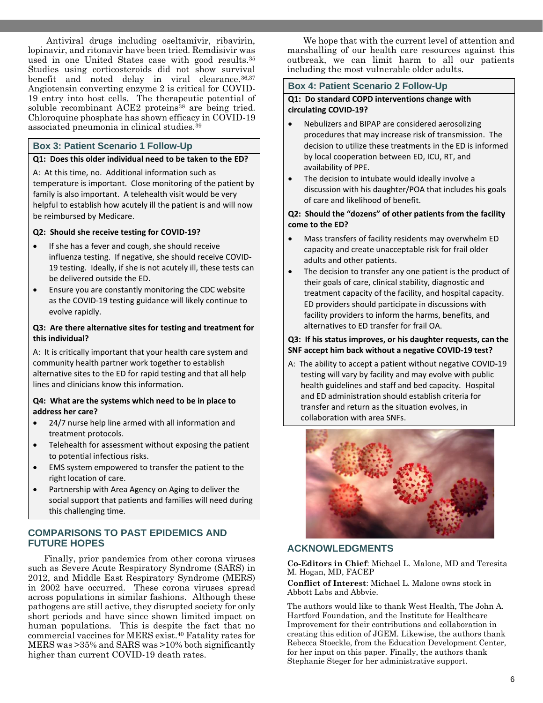Antiviral drugs including oseltamivir, ribavirin, lopinavir, and ritonavir have been tried. Remdisivir was used in one United States case with good results.<sup>35</sup> Studies using corticosteroids did not show survival benefit and noted delay in viral clearance.36,37 Angiotensin converting enzyme 2 is critical for COVID-19 entry into host cells. The therapeutic potential of soluble recombinant ACE2 proteins<sup>38</sup> are being tried. Chloroquine phosphate has shown efficacy in COVID-19 associated pneumonia in clinical studies.<sup>39</sup>

# **Box 3: Patient Scenario 1 Follow-Up**

#### **Q1: Does this older individual need to be taken to the ED?**

A: At this time, no. Additional information such as temperature is important. Close monitoring of the patient by family is also important. A telehealth visit would be very helpful to establish how acutely ill the patient is and will now be reimbursed by Medicare.

#### **Q2: Should she receive testing for COVID-19?**

- If she has a fever and cough, she should receive influenza testing. If negative, she should receive COVID-19 testing. Ideally, if she is not acutely ill, these tests can be delivered outside the ED.
- Ensure you are constantly monitoring the CDC website as the COVID-19 testing guidance will likely continue to evolve rapidly.

#### **Q3: Are there alternative sites for testing and treatment for this individual?**

A: It is critically important that your health care system and community health partner work together to establish alternative sites to the ED for rapid testing and that all help lines and clinicians know this information.

#### **Q4: What are the systems which need to be in place to address her care?**

- 24/7 nurse help line armed with all information and treatment protocols.
- Telehealth for assessment without exposing the patient to potential infectious risks.
- EMS system empowered to transfer the patient to the right location of care.
- Partnership with Area Agency on Aging to deliver the social support that patients and families will need during this challenging time.

### **COMPARISONS TO PAST EPIDEMICS AND FUTURE HOPES**

Finally, prior pandemics from other corona viruses such as Severe Acute Respiratory Syndrome (SARS) in 2012, and Middle East Respiratory Syndrome (MERS) in 2002 have occurred. These corona viruses spread across populations in similar fashions. Although these pathogens are still active, they disrupted society for only short periods and have since shown limited impact on human populations. This is despite the fact that no commercial vaccines for MERS exist. <sup>40</sup> Fatality rates for MERS was >35% and SARS was >10% both significantly higher than current COVID-19 death rates.

We hope that with the current level of attention and marshalling of our health care resources against this outbreak, we can limit harm to all our patients including the most vulnerable older adults.

#### **Box 4: Patient Scenario 2 Follow-Up**

#### **Q1: Do standard COPD interventions change with circulating COVID-19?**

- Nebulizers and BIPAP are considered aerosolizing procedures that may increase risk of transmission. The decision to utilize these treatments in the ED is informed by local cooperation between ED, ICU, RT, and availability of PPE.
- The decision to intubate would ideally involve a discussion with his daughter/POA that includes his goals of care and likelihood of benefit.

#### **Q2: Should the "dozens" of other patients from the facility come to the ED?**

- Mass transfers of facility residents may overwhelm ED capacity and create unacceptable risk for frail older adults and other patients.
- The decision to transfer any one patient is the product of their goals of care, clinical stability, diagnostic and treatment capacity of the facility, and hospital capacity. ED providers should participate in discussions with facility providers to inform the harms, benefits, and alternatives to ED transfer for frail OA.

### **Q3: If his status improves, or his daughter requests, can the SNF accept him back without a negative COVID-19 test?**

A: The ability to accept a patient without negative COVID-19 testing will vary by facility and may evolve with public health guidelines and staff and bed capacity. Hospital and ED administration should establish criteria for transfer and return as the situation evolves, in collaboration with area SNFs.



#### **ACKNOWLEDGMENTS**

**Co-Editors in Chief**: Michael L. Malone, MD and Teresita M. Hogan, MD, FACEP

**Conflict of Interest**: Michael L. Malone owns stock in Abbott Labs and Abbvie.

The authors would like to thank West Health, The John A. Hartford Foundation, and the Institute for Healthcare Improvement for their contributions and collaboration in creating this edition of JGEM. Likewise, the authors thank Rebecca Stoeckle, from the Education Development Center, for her input on this paper. Finally, the authors thank Stephanie Steger for her administrative support.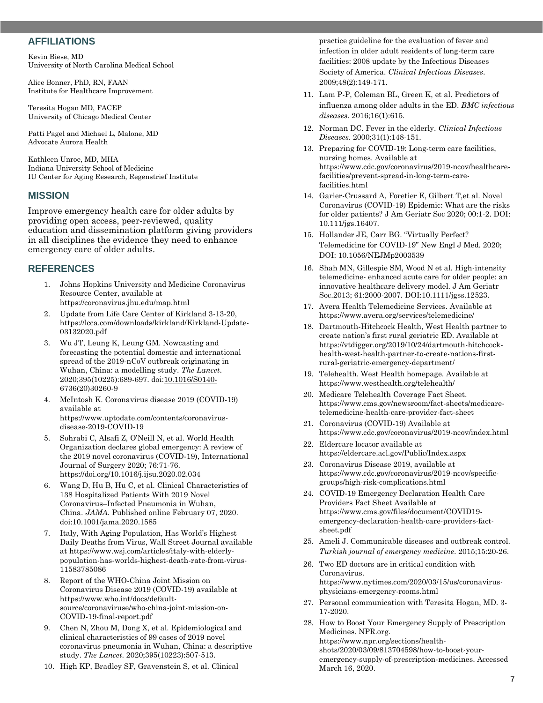#### **AFFILIATIONS**

Kevin Biese, MD University of North Carolina Medical School

Alice Bonner, PhD, RN, FAAN Institute for Healthcare Improvement

Teresita Hogan MD, FACEP University of Chicago Medical Center

Patti Pagel and Michael L, Malone, MD Advocate Aurora Health

Kathleen Unroe, MD, MHA Indiana University School of Medicine IU Center for Aging Research, Regenstrief Institute

#### **MISSION**

Improve emergency health care for older adults by providing open access, peer-reviewed, quality education and dissemination platform giving providers in all disciplines the evidence they need to enhance emergency care of older adults.

### **REFERENCES**

- 1. Johns Hopkins University and Medicine Coronavirus Resource Center, available at <https://coronavirus.jhu.edu/map.html>
- 2. Update from Life Care Center of Kirkland 3-13-20, https://lcca.com/downloads/kirkland/Kirkland-Update-03132020.pdf
- 3. Wu JT, Leung K, Leung GM. Nowcasting and forecasting the potential domestic and international spread of the 2019-nCoV outbreak originating in Wuhan, China: a modelling study. *The Lancet*. 2020;395(10225):689-697. do[i:10.1016/S0140-](https://doi.org/10.1016/S0140-6736(20)30260-9) [6736\(20\)30260-9](https://doi.org/10.1016/S0140-6736(20)30260-9)
- 4. McIntosh K. Coronavirus disease 2019 (COVID-19) available at [https://www.uptodate.com/contents/coronavirus](https://www.uptodate.com/contents/coronavirus-disease-2019-covid-19)[disease-2019-COVID-19](https://www.uptodate.com/contents/coronavirus-disease-2019-covid-19)
- 5. Sohrabi C, Alsafi Z, O'Neill N, et al. World Health Organization declares global emergency: A review of the 2019 novel coronavirus (COVID-19), International Journal of Surgery 2020; 76:71-76. https://doi.org/10.1016/j.ijsu.2020.02.034
- 6. Wang D, Hu B, Hu C, et al. Clinical Characteristics of 138 Hospitalized Patients With 2019 Novel Coronavirus–Infected Pneumonia in Wuhan, China. *JAMA.* Published online February 07, 2020. doi:10.1001/jama.2020.1585
- 7. Italy, With Aging Population, Has World's Highest Daily Deaths from Virus, Wall Street Journal available at [https://www.wsj.com/articles/italy-with-elderly](https://www.wsj.com/articles/italy-with-elderly-population-has-worlds-highest-death-rate-from-virus-11583785086)[population-has-worlds-highest-death-rate-from-virus-](https://www.wsj.com/articles/italy-with-elderly-population-has-worlds-highest-death-rate-from-virus-11583785086)[11583785086](https://www.wsj.com/articles/italy-with-elderly-population-has-worlds-highest-death-rate-from-virus-11583785086)
- 8. Report of the WHO-China Joint Mission on Coronavirus Disease 2019 (COVID-19) available at [https://www.who.int/docs/default](https://www.who.int/docs/default-source/coronaviruse/who-china-joint-mission-on-covid-19-final-report.pdf)[source/coronaviruse/who-china-joint-mission-on-](https://www.who.int/docs/default-source/coronaviruse/who-china-joint-mission-on-covid-19-final-report.pdf)[COVID-19-final-report.pdf](https://www.who.int/docs/default-source/coronaviruse/who-china-joint-mission-on-covid-19-final-report.pdf)
- 9. Chen N, Zhou M, Dong X, et al. Epidemiological and clinical characteristics of 99 cases of 2019 novel coronavirus pneumonia in Wuhan, China: a descriptive study. *The Lancet*. 2020;395(10223):507-513.
- 10. High KP, Bradley SF, Gravenstein S, et al. Clinical

practice guideline for the evaluation of fever and infection in older adult residents of long-term care facilities: 2008 update by the Infectious Diseases Society of America. *Clinical Infectious Diseases*. 2009;48(2):149-171.

- 11. Lam P-P, Coleman BL, Green K, et al. Predictors of influenza among older adults in the ED. *BMC infectious diseases*. 2016;16(1):615.
- 12. Norman DC. Fever in the elderly. *Clinical Infectious Diseases*. 2000;31(1):148-151.
- 13. Preparing for COVID-19: Long-term care facilities, nursing homes. Available at [https://www.cdc.gov/coronavirus/2019-ncov/healthcare](https://www.cdc.gov/coronavirus/2019-ncov/healthcare-facilities/prevent-spread-in-long-term-care-facilities.html)[facilities/prevent-spread-in-long-term-care](https://www.cdc.gov/coronavirus/2019-ncov/healthcare-facilities/prevent-spread-in-long-term-care-facilities.html)[facilities.html](https://www.cdc.gov/coronavirus/2019-ncov/healthcare-facilities/prevent-spread-in-long-term-care-facilities.html)
- 14. Garier-Crussard A, Foretier E, Gilbert T,et al. Novel Coronavirus (COVID-19) Epidemic: What are the risks for older patients? J Am Geriatr Soc 2020; 00:1-2. DOI: 10.111/jgs.16407.
- 15. Hollander JE, Carr BG. "Virtually Perfect? Telemedicine for COVID-19" New Engl J Med. 2020; DOI: 10.1056/NEJMp2003539
- 16. Shah MN, Gillespie SM, Wood N et al. High-intensity telemedicine- enhanced acute care for older people: an innovative healthcare delivery model. J Am Geriatr Soc.2013; 61:2000-2007. DOI:10.1111/jgss.12523.
- 17. Avera Health Telemedicine Services. Available at <https://www.avera.org/services/telemedicine/>
- 18. Dartmouth-Hitchcock Health, West Health partner to create nation's first rural geriatric ED. Available at [https://vtdigger.org/2019/10/24/dartmouth-hitchcock](https://vtdigger.org/2019/10/24/dartmouth-hitchcock-health-west-health-partner-to-create-nations-first-rural-geriatric-emergency-department/)[health-west-health-partner-to-create-nations-first](https://vtdigger.org/2019/10/24/dartmouth-hitchcock-health-west-health-partner-to-create-nations-first-rural-geriatric-emergency-department/)[rural-geriatric-emergency-department/](https://vtdigger.org/2019/10/24/dartmouth-hitchcock-health-west-health-partner-to-create-nations-first-rural-geriatric-emergency-department/)
- 19. Telehealth. West Health homepage. Available at <https://www.westhealth.org/telehealth/>
- 20. Medicare Telehealth Coverage Fact Sheet. [https://www.cms.gov/newsroom/fact-sheets/medicare](https://www.cms.gov/newsroom/fact-sheets/medicare-telemedicine-health-care-provider-fact-sheet)[telemedicine-health-care-provider-fact-sheet](https://www.cms.gov/newsroom/fact-sheets/medicare-telemedicine-health-care-provider-fact-sheet)
- 21. Coronavirus (COVID-19) Available at <https://www.cdc.gov/coronavirus/2019-ncov/index.html>
- 22. Eldercare locator available at <https://eldercare.acl.gov/Public/Index.aspx>
- 23. Coronavirus Disease 2019, available at [https://www.cdc.gov/coronavirus/2019-ncov/specific](https://www.cdc.gov/coronavirus/2019-ncov/specific-groups/high-risk-complications.html)[groups/high-risk-complications.html](https://www.cdc.gov/coronavirus/2019-ncov/specific-groups/high-risk-complications.html)
- 24. COVID-19 Emergency Declaration Health Care Providers Fact Sheet Available at [https://www.cms.gov/files/document/COVID19](https://www.cms.gov/files/document/covid19-emergency-declaration-health-care-providers-fact-sheet.pdf) [emergency-declaration-health-care-providers-fact](https://www.cms.gov/files/document/covid19-emergency-declaration-health-care-providers-fact-sheet.pdf)[sheet.pdf](https://www.cms.gov/files/document/covid19-emergency-declaration-health-care-providers-fact-sheet.pdf)
- 25. Ameli J. Communicable diseases and outbreak control. *Turkish journal of emergency medicine*. 2015;15:20-26.
- 26. Two ED doctors are in critical condition with Coronavirus. [https://www.nytimes.com/2020/03/15/us/coronavirus](https://www.nytimes.com/2020/03/15/us/coronavirus-physicians-emergency-rooms.html)[physicians-emergency-rooms.html](https://www.nytimes.com/2020/03/15/us/coronavirus-physicians-emergency-rooms.html)
- 27. Personal communication with Teresita Hogan, MD. 3- 17-2020.
- 28. How to Boost Your Emergency Supply of Prescription Medicines. NPR.org. [https://www.npr.org/sections/health](https://www.npr.org/sections/health-shots/2020/03/09/813704598/how-to-boost-your-emergency-supply-of-prescription-medicines)[shots/2020/03/09/813704598/how-to-boost-your](https://www.npr.org/sections/health-shots/2020/03/09/813704598/how-to-boost-your-emergency-supply-of-prescription-medicines)[emergency-supply-of-prescription-medicines.](https://www.npr.org/sections/health-shots/2020/03/09/813704598/how-to-boost-your-emergency-supply-of-prescription-medicines) Accessed March 16, 2020.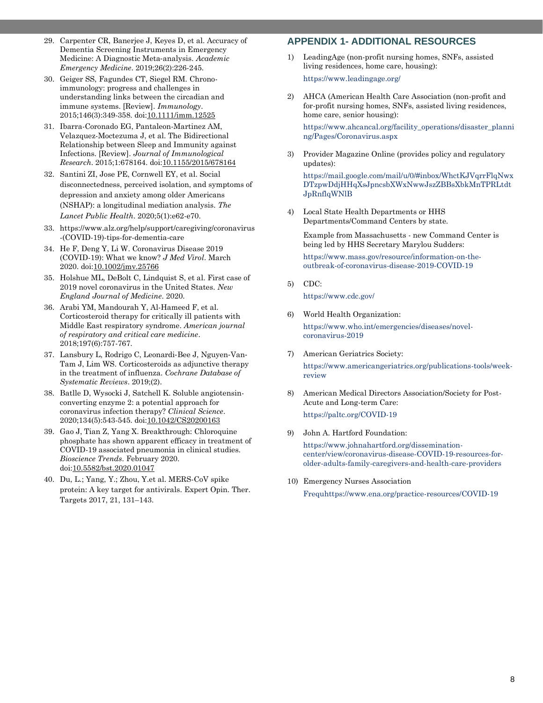- 29. Carpenter CR, Banerjee J, Keyes D, et al. Accuracy of Dementia Screening Instruments in Emergency Medicine: A Diagnostic Meta‐analysis. *Academic Emergency Medicine*. 2019;26(2):226-245.
- 30. Geiger SS, Fagundes CT, Siegel RM. Chronoimmunology: progress and challenges in understanding links between the circadian and immune systems. [Review]. *Immunology*. 2015;146(3):349-358. doi[:10.1111/imm.12525](https://doi.org/10.1111/imm.12525)
- 31. Ibarra-Coronado EG, Pantaleon-Martinez AM, Velazquez-Moctezuma J, et al. The Bidirectional Relationship between Sleep and Immunity against Infections. [Review]. *Journal of Immunological Research*. 2015;1:678164. doi[:10.1155/2015/678164](https://doi.org/10.1155/2015/678164)
- 32. Santini ZI, Jose PE, Cornwell EY, et al. Social disconnectedness, perceived isolation, and symptoms of depression and anxiety among older Americans (NSHAP): a longitudinal mediation analysis. *The Lancet Public Health*. 2020;5(1):e62-e70.
- 33. [https://www.alz.org/help/support/caregiving/coronavirus](https://www.alz.org/help/support/caregiving/coronavirus-(covid-19)-tips-for-dementia-care) [-\(COVID-19\)-tips-for-dementia-care](https://www.alz.org/help/support/caregiving/coronavirus-(covid-19)-tips-for-dementia-care)
- 34. He F, Deng Y, Li W. Coronavirus Disease 2019 (COVID-19): What we know? *J Med Virol*. March 2020. do[i:10.1002/jmv.25766](https://doi.org/10.1002/jmv.25766)
- 35. Holshue ML, DeBolt C, Lindquist S, et al. First case of 2019 novel coronavirus in the United States. *New England Journal of Medicine*. 2020.
- 36. Arabi YM, Mandourah Y, Al-Hameed F, et al. Corticosteroid therapy for critically ill patients with Middle East respiratory syndrome. *American journal of respiratory and critical care medicine*. 2018;197(6):757-767.
- 37. Lansbury L, Rodrigo C, Leonardi‐Bee J, Nguyen‐Van‐ Tam J, Lim WS. Corticosteroids as adjunctive therapy in the treatment of influenza. *Cochrane Database of Systematic Reviews*. 2019;(2).
- 38. Batlle D, Wysocki J, Satchell K. Soluble angiotensinconverting enzyme 2: a potential approach for coronavirus infection therapy? *Clinical Science*. 2020;134(5):543-545. doi[:10.1042/CS20200163](https://doi.org/10.1042/CS20200163)
- 39. Gao J, Tian Z, Yang X. Breakthrough: Chloroquine phosphate has shown apparent efficacy in treatment of COVID-19 associated pneumonia in clinical studies. *Bioscience Trends*. February 2020. do[i:10.5582/bst.2020.01047](https://doi.org/10.5582/bst.2020.01047)
- 40. Du, L.; Yang, Y.; Zhou, Y.et al. MERS-CoV spike protein: A key target for antivirals. Expert Opin. Ther. Targets 2017, 21, 131–143.

# **APPENDIX 1- ADDITIONAL RESOURCES**

1) LeadingAge (non-profit nursing homes, SNFs, assisted living residences, home care, housing):

https://www.leadingage.org/

2) AHCA (American Health Care Association (non-profit and for-profit nursing homes, SNFs, assisted living residences, home care, senior housing):

https://www.ahcancal.org/facility\_operations/disaster\_planni ng/Pages/Coronavirus.aspx

3) Provider Magazine Online (provides policy and regulatory updates):

https://mail.google.com/mail/u/0/#inbox/WhctKJVqrrFlqNwx DTzpwDdjHHqXsJpncsbXWxNwwJszZBBsXbkMnTPRLtdt JpRnflqWNlB

4) Local State Health Departments or HHS Departments/Command Centers by state.

Example from Massachusetts - new Command Center is being led by HHS Secretary Marylou Sudders:

https://www.mass.gov/resource/information-on-theoutbreak-of-coronavirus-disease-2019-COVID-19

5) CDC:

https://www.cdc.gov/

6) World Health Organization:

https://www.who.int/emergencies/diseases/novelcoronavirus-2019

7) American Geriatrics Society:

https://www.americangeriatrics.org/publications-tools/weekreview

- 8) American Medical Directors Association/Society for Post-Acute and Long-term Care: https://paltc.org/COVID-19
- 9) John A. Hartford Foundation:

https://www.johnahartford.org/disseminationcenter/view/coronavirus-disease-COVID-19-resources-forolder-adults-family-caregivers-and-health-care-providers

10) Emergency Nurses Association Frequhttps://www.ena.org/practice-resources/COVID-19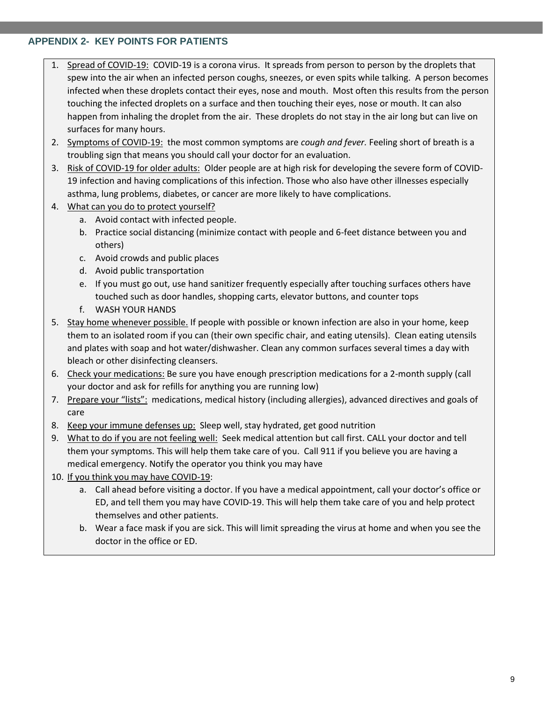# **APPENDIX 2- KEY POINTS FOR PATIENTS**

- 1. Spread of COVID-19: COVID-19 is a corona virus. It spreads from person to person by the droplets that spew into the air when an infected person coughs, sneezes, or even spits while talking. A person becomes infected when these droplets contact their eyes, nose and mouth. Most often this results from the person touching the infected droplets on a surface and then touching their eyes, nose or mouth. It can also happen from inhaling the droplet from the air. These droplets do not stay in the air long but can live on surfaces for many hours.
- 2. Symptoms of COVID-19: the most common symptoms are *cough and fever.* Feeling short of breath is a troubling sign that means you should call your doctor for an evaluation.
- 3. Risk of COVID-19 for older adults: Older people are at high risk for developing the severe form of COVID-19 infection and having complications of this infection. Those who also have other illnesses especially asthma, lung problems, diabetes, or cancer are more likely to have complications.
- 4. What can you do to protect yourself?
	- a. Avoid contact with infected people.
	- b. Practice social distancing (minimize contact with people and 6-feet distance between you and others)
	- c. Avoid crowds and public places
	- d. Avoid public transportation
	- e. If you must go out, use hand sanitizer frequently especially after touching surfaces others have touched such as door handles, shopping carts, elevator buttons, and counter tops
	- f. WASH YOUR HANDS
- 5. Stay home whenever possible. If people with possible or known infection are also in your home, keep them to an isolated room if you can (their own specific chair, and eating utensils). Clean eating utensils and plates with soap and hot water/dishwasher. Clean any common surfaces several times a day with bleach or other disinfecting cleansers.
- 6. Check your medications: Be sure you have enough prescription medications for a 2-month supply (call your doctor and ask for refills for anything you are running low)
- 7. Prepare your "lists": medications, medical history (including allergies), advanced directives and goals of care
- 8. Keep your immune defenses up: Sleep well, stay hydrated, get good nutrition
- 9. What to do if you are not feeling well: Seek medical attention but call first. CALL your doctor and tell them your symptoms. This will help them take care of you. Call 911 if you believe you are having a medical emergency. Notify the operator you think you may have
- 10. If you think you may have COVID-19:
	- a. Call ahead before visiting a doctor. If you have a medical appointment, call your doctor's office or ED, and tell them you may have COVID-19. This will help them take care of you and help protect themselves and other patients.
	- b. Wear a face mask if you are sick. This will limit spreading the virus at home and when you see the doctor in the office or ED.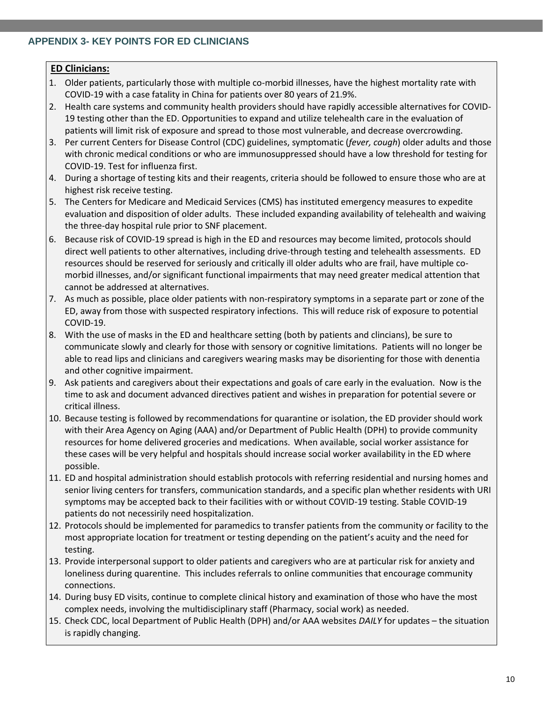# **APPENDIX 3- KEY POINTS FOR ED CLINICIANS**

# **ED Clinicians:**

- 1. Older patients, particularly those with multiple co-morbid illnesses, have the highest mortality rate with COVID-19 with a case fatality in China for patients over 80 years of 21.9%.
- 2. Health care systems and community health providers should have rapidly accessible alternatives for COVID-19 testing other than the ED. Opportunities to expand and utilize telehealth care in the evaluation of patients will limit risk of exposure and spread to those most vulnerable, and decrease overcrowding.
- 3. Per current Centers for Disease Control (CDC) guidelines, symptomatic (*fever, cough*) older adults and those with chronic medical conditions or who are immunosuppressed should have a low threshold for testing for COVID-19. Test for influenza first.
- 4. During a shortage of testing kits and their reagents, criteria should be followed to ensure those who are at highest risk receive testing.
- 5. The Centers for Medicare and Medicaid Services (CMS) has instituted emergency measures to expedite evaluation and disposition of older adults. These included expanding availability of telehealth and waiving the three-day hospital rule prior to SNF placement.
- 6. Because risk of COVID-19 spread is high in the ED and resources may become limited, protocols should direct well patients to other alternatives, including drive-through testing and telehealth assessments. ED resources should be reserved for seriously and critically ill older adults who are frail, have multiple comorbid illnesses, and/or significant functional impairments that may need greater medical attention that cannot be addressed at alternatives.
- 7. As much as possible, place older patients with non-respiratory symptoms in a separate part or zone of the ED, away from those with suspected respiratory infections. This will reduce risk of exposure to potential COVID-19.
- 8. With the use of masks in the ED and healthcare setting (both by patients and clincians), be sure to communicate slowly and clearly for those with sensory or cognitive limitations. Patients will no longer be able to read lips and clinicians and caregivers wearing masks may be disorienting for those with denentia and other cognitive impairment.
- 9. Ask patients and caregivers about their expectations and goals of care early in the evaluation. Now is the time to ask and document advanced directives patient and wishes in preparation for potential severe or critical illness.
- 10. Because testing is followed by recommendations for quarantine or isolation, the ED provider should work with their Area Agency on Aging (AAA) and/or Department of Public Health (DPH) to provide community resources for home delivered groceries and medications. When available, social worker assistance for these cases will be very helpful and hospitals should increase social worker availability in the ED where possible.
- 11. ED and hospital administration should establish protocols with referring residential and nursing homes and senior living centers for transfers, communication standards, and a specific plan whether residents with URI symptoms may be accepted back to their facilities with or without COVID-19 testing. Stable COVID-19 patients do not necessirily need hospitalization.
- 12. Protocols should be implemented for paramedics to transfer patients from the community or facility to the most appropriate location for treatment or testing depending on the patient's acuity and the need for testing.
- 13. Provide interpersonal support to older patients and caregivers who are at particular risk for anxiety and loneliness during quarentine. This includes referrals to online communities that encourage community connections.
- 14. During busy ED visits, continue to complete clinical history and examination of those who have the most complex needs, involving the multidisciplinary staff (Pharmacy, social work) as needed.
- 15. Check CDC, local Department of Public Health (DPH) and/or AAA websites *DAILY* for updates the situation is rapidly changing.